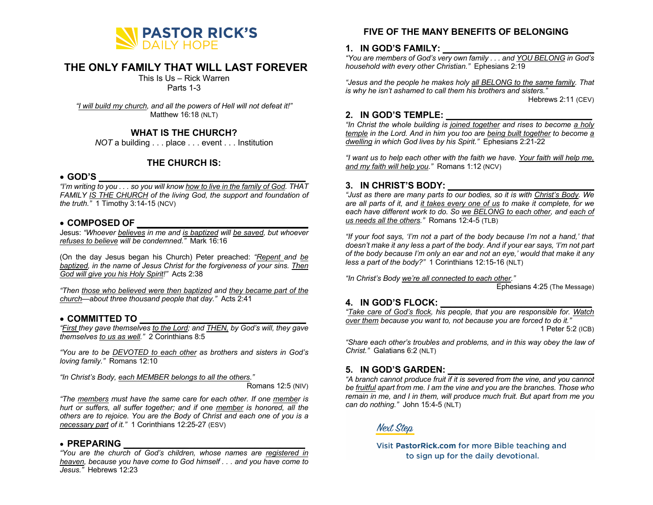

# **THE ONLY FAMILY THAT WILL LAST FOREVER**

This Is Us – Rick Warren

Parts 1-3

*"I will build my church, and all the powers of Hell will not defeat it!"* Matthew 16:18 (NLT)

## **WHAT IS THE CHURCH?**

*NOT* a building . . . place . . . event . . . Institution

### **THE CHURCH IS:**

#### • **GOD'S \_\_\_\_\_\_\_\_\_\_\_\_\_\_\_\_\_\_\_\_\_\_\_\_\_\_\_\_\_\_\_\_\_\_\_\_\_\_\_\_\_**

*"I'm writing to you . . . so you will know how to live in the family of God. THAT FAMILY IS THE CHURCH of the living God, the support and foundation of the truth."* 1 Timothy 3:14-15 (NCV)

#### • **COMPOSED OF \_\_\_\_\_\_\_\_\_\_\_\_\_\_\_\_\_\_\_\_\_\_\_\_\_\_\_\_\_\_\_\_\_\_**

Jesus: *"Whoever believes in me and is baptized will be saved, but whoever refuses to believe will be condemned."* Mark 16:16

(On the day Jesus began his Church) Peter preached: *"Repent and be baptized, in the name of Jesus Christ for the forgiveness of your sins. Then God will give you his Holy Spirit!"* Acts 2:38

*"Then those who believed were then baptized and they became part of the church—about three thousand people that day."* Acts 2:41

### • **COMMITTED TO \_\_\_\_\_\_\_\_\_\_\_\_\_\_\_\_\_\_\_\_\_\_\_\_\_\_\_\_\_\_\_\_\_**

*"First they gave themselves to the Lord; and THEN, by God's will, they gave themselves to us as well."* 2 Corinthians 8:5

*"You are to be DEVOTED to each other as brothers and sisters in God's loving family."* Romans 12:10

*"In Christ's Body, each MEMBER belongs to all the others."*

Romans 12:5 (NIV)

*"The members must have the same care for each other. If one member is hurt or suffers, all suffer together; and if one member is honored, all the others are to rejoice. You are the Body of Christ and each one of you is a necessary part of it."* 1 Corinthians 12:25-27 (ESV)

#### • **PREPARING \_\_\_\_\_\_\_\_\_\_\_\_\_\_\_\_\_\_\_\_\_\_\_\_\_\_\_\_\_\_\_\_\_\_\_\_**

*"You are the church of God's children, whose names are registered in heaven, because you have come to God himself . . . and you have come to Jesus."* Hebrews 12:23

# **FIVE OF THE MANY BENEFITS OF BELONGING**

#### **1. IN GOD'S FAMILY: \_\_\_\_\_\_\_\_\_\_\_\_\_\_\_\_\_\_\_\_\_\_\_\_\_\_\_\_\_\_**

*"You are members of God's very own family . . . and YOU BELONG in God's household with every other Christian."* Ephesians 2:19

*"Jesus and the people he makes holy all BELONG to the same family. That is why he isn't ashamed to call them his brothers and sisters."*

Hebrews 2:11 (CEV)

### **2. IN GOD'S TEMPLE: \_\_\_\_\_\_\_\_\_\_\_\_\_\_\_\_\_\_\_\_\_\_\_\_\_\_\_\_\_**

*"In Christ the whole building is joined together and rises to become a holy temple in the Lord. And in him you too are being built together to become a dwelling in which God lives by his Spirit."* Ephesians 2:21-22

*"I want us to help each other with the faith we have. Your faith will help me, and my faith will help you."* Romans 1:12 (NCV)

### **3. IN CHRIST'S BODY: \_\_\_\_\_\_\_\_\_\_\_\_\_\_\_\_\_\_\_\_\_\_\_\_\_\_\_\_\_**

*"Just as there are many parts to our bodies, so it is with Christ's Body. We are all parts of it, and it takes every one of us to make it complete, for we each have different work to do. So we BELONG to each other, and each of us needs all the others."* Romans 12:4-5 (TLB)

*"If your foot says, 'I'm not a part of the body because I'm not a hand,' that doesn't make it any less a part of the body. And if your ear says, 'I'm not part of the body because I'm only an ear and not an eye,' would that make it any less a part of the body?"* 1 Corinthians 12:15-16 (NLT)

*"In Christ's Body we're all connected to each other."*

Ephesians 4:25 (The Message)

### **4. IN GOD'S FLOCK: \_\_\_\_\_\_\_\_\_\_\_\_\_\_\_\_\_\_\_\_\_\_\_\_\_\_\_\_\_\_**

*"Take care of God's flock, his people, that you are responsible for. Watch over them because you want to, not because you are forced to do it."* 1 Peter 5:2 (ICB)

*"Share each other's troubles and problems, and in this way obey the law of Christ."* Galatians 6:2 (NLT)

### **5. IN GOD'S GARDEN: \_\_\_\_\_\_\_\_\_\_\_\_\_\_\_\_\_\_\_\_\_\_\_\_\_\_\_\_\_**

*"A branch cannot produce fruit if it is severed from the vine, and you cannot be fruitful apart from me. I am the vine and you are the branches. Those who remain in me, and I in them, will produce much fruit. But apart from me you can do nothing."* John 15:4-5 (NLT)

**Next Step** 

Visit PastorRick.com for more Bible teaching and to sign up for the daily devotional.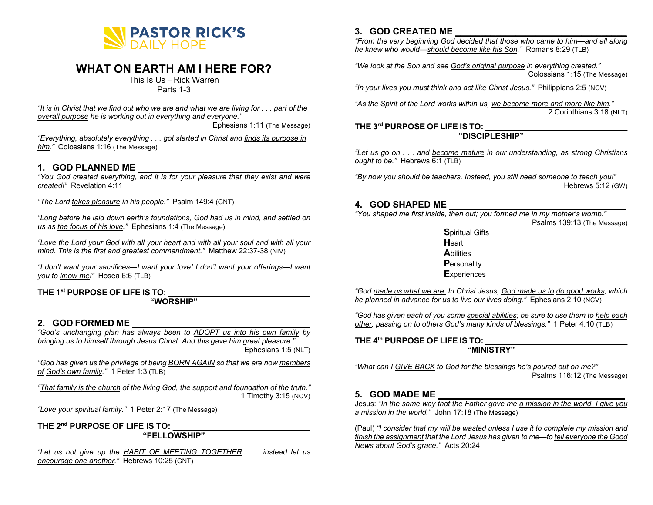

# **WHAT ON EARTH AM I HERE FOR?**

This Is Us – Rick Warren Parts 1-3

*"It is in Christ that we find out who we are and what we are living for . . . part of the overall purpose he is working out in everything and everyone."*

Ephesians 1:11 (The Message)

*"Everything, absolutely everything . . . got started in Christ and finds its purpose in him."* Colossians 1:16 (The Message)

#### **1. GOD PLANNED ME \_\_\_\_\_\_\_\_\_\_\_\_\_\_\_\_\_\_\_\_\_\_\_\_\_\_\_\_\_\_\_\_\_\_**

*"You God created everything, and it is for your pleasure that they exist and were created!"* Revelation 4:11

*"The Lord takes pleasure in his people."* Psalm 149:4 (GNT)

*"Long before he laid down earth's foundations, God had us in mind, and settled on us as the focus of his love."* Ephesians 1:4 (The Message)

*"Love the Lord your God with all your heart and with all your soul and with all your mind. This is the first and greatest commandment."* Matthew 22:37-38 (NIV)

*"I don't want your sacrifices—I want your love! I don't want your offerings—I want you to know me!"* Hosea 6:6 (TLB)

#### **THE 1st PURPOSE OF LIFE IS TO: \_\_\_\_\_\_\_\_\_\_\_\_\_\_\_\_\_\_\_\_\_\_\_\_\_\_\_\_\_\_\_**

#### **"WORSHIP"**

#### **2. GOD FORMED ME \_\_\_\_\_\_\_\_\_\_\_\_\_\_\_\_\_\_\_\_\_\_\_\_\_\_\_\_\_\_\_\_\_\_\_**

*"God's unchanging plan has always been to ADOPT us into his own family by bringing us to himself through Jesus Christ. And this gave him great pleasure."* Ephesians 1:5 (NLT)

*"God has given us the privilege of being BORN AGAIN so that we are now members of God's own family."* 1 Peter 1:3 (TLB)

*"That family is the church of the living God, the support and foundation of the truth."* 1 Timothy 3:15 (NCV)

*"Love your spiritual family."* 1 Peter 2:17 (The Message)

**THE 2nd PURPOSE OF LIFE IS TO: \_\_\_\_\_\_\_\_\_\_\_\_\_\_\_\_\_\_\_\_\_\_\_\_\_\_\_\_\_\_ "FELLOWSHIP"**

*"Let us not give up the HABIT OF MEETING TOGETHER . . . instead let us encourage one another."* Hebrews 10:25 (GNT)

# **3. GOD CREATED ME \_\_\_\_\_\_\_\_\_\_\_\_\_\_\_\_\_\_\_\_\_\_\_\_\_\_\_\_\_\_\_\_\_\_**

*"From the very beginning God decided that those who came to him—and all along he knew who would—should become like his Son."* Romans 8:29 (TLB)

*"We look at the Son and see God's original purpose in everything created."* Colossians 1:15 (The Message)

*"In your lives you must think and act like Christ Jesus."* Philippians 2:5 (NCV)

*"As the Spirit of the Lord works within us, we become more and more like him."* 2 Corinthians 3:18 (NLT)

# **THE 3rd PURPOSE OF LIFE IS TO: \_\_\_\_\_\_\_\_\_\_\_\_\_\_\_\_\_\_\_\_\_\_\_\_\_\_\_\_\_\_\_**

### **"DISCIPLESHIP"**

*"Let us go on . . . and become mature in our understanding, as strong Christians ought to be."* Hebrews 6:1 (TLB)

*"By now you should be teachers. Instead, you still need someone to teach you!"* Hebrews 5:12 (GW)

## **4. GOD SHAPED ME \_\_\_\_\_\_\_\_\_\_\_\_\_\_\_\_\_\_\_\_\_\_\_\_\_\_\_\_\_\_\_\_\_\_\_**

*"You shaped me first inside, then out; you formed me in my mother's womb."* Psalms 139:13 (The Message)

> **S**piritual Gifts **H**eart **A**bilities **P**ersonality **E**xperiences

*"God made us what we are. In Christ Jesus, God made us to do good works, which he planned in advance for us to live our lives doing."* Ephesians 2:10 (NCV)

*"God has given each of you some special abilities; be sure to use them to help each other, passing on to others God's many kinds of blessings."* 1 Peter 4:10 (TLB)

**THE 4th PURPOSE OF LIFE IS TO: \_\_\_\_\_\_\_\_\_\_\_\_\_\_\_\_\_\_\_\_\_\_\_\_\_\_\_\_\_\_\_ "MINISTRY"**

*"What can I GIVE BACK to God for the blessings he's poured out on me?"* Psalms 116:12 (The Message)

### **5. GOD MADE ME \_\_\_\_\_\_\_\_\_\_\_\_\_\_\_\_\_\_\_\_\_\_\_\_\_\_\_\_\_\_\_\_\_\_\_\_\_**

Jesus: "*In the same way that the Father gave me a mission in the world, I give you a mission in the world."* John 17:18 (The Message)

(Paul) *"I consider that my will be wasted unless I use it to complete my mission and finish the assignment that the Lord Jesus has given to me—to tell everyone the Good News about God's grace."* Acts 20:24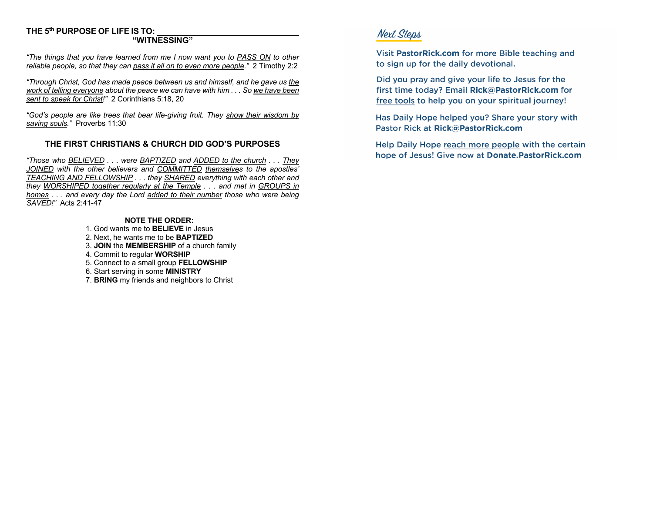# **THE 5th PURPOSE OF LIFE IS TO: \_\_\_\_\_\_\_\_\_\_\_\_\_\_\_\_\_\_\_\_\_\_\_\_\_\_\_\_\_\_\_**

#### **"WITNESSING"**

*"The things that you have learned from me I now want you to PASS ON to other reliable people, so that they can pass it all on to even more people."* 2 Timothy 2:2

*"Through Christ, God has made peace between us and himself, and he gave us the work of telling everyone about the peace we can have with him . . . So we have been sent to speak for Christ!"* 2 Corinthians 5:18, 20

*"God's people are like trees that bear life-giving fruit. They show their wisdom by saving souls."* Proverbs 11:30

#### **THE FIRST CHRISTIANS & CHURCH DID GOD'S PURPOSES**

*"Those who BELIEVED . . . were BAPTIZED and ADDED to the church . . . They JOINED with the other believers and COMMITTED themselves to the apostles' TEACHING AND FELLOWSHIP . . . they SHARED everything with each other and they WORSHIPED together regularly at the Temple . . . and met in GROUPS in homes . . . and every day the Lord added to their number those who were being SAVED!"* Acts 2:41-47

#### **NOTE THE ORDER:**

- 1. God wants me to **BELIEVE** in Jesus
- 2. Next, he wants me to be **BAPTIZED**
- 3. **JOIN** the **MEMBERSHIP** of a church family
- 4. Commit to regular **WORSHIP**
- 5. Connect to a small group **FELLOWSHIP**
- 6. Start serving in some **MINISTRY**
- 7. **BRING** my friends and neighbors to Christ

# **Next Steps**

Visit PastorRick.com for more Bible teaching and to sign up for the daily devotional.

Did you pray and give your life to Jesus for the first time today? Email Rick@PastorRick.com for free tools to help you on your spiritual journey!

Has Daily Hope helped you? Share your story with Pastor Rick at Rick@PastorRick.com

Help Daily Hope reach more people with the certain hope of Jesus! Give now at Donate. Pastor Rick.com